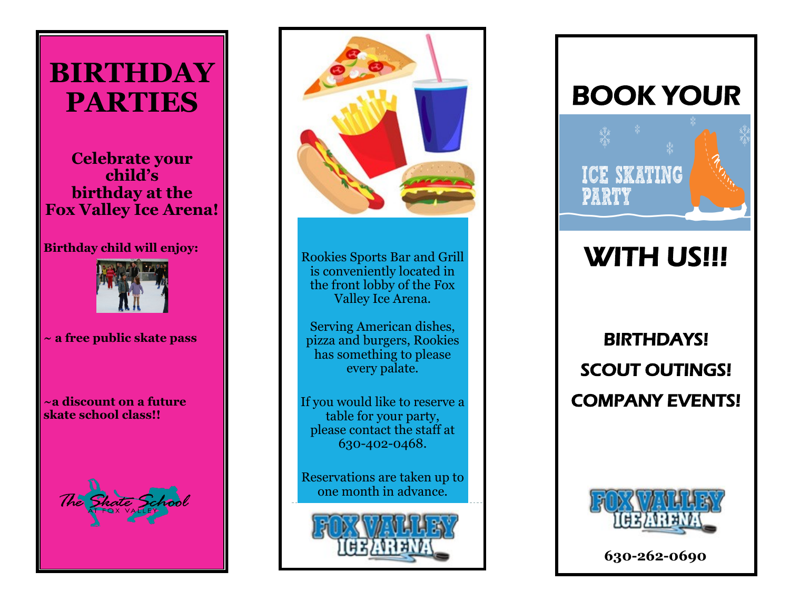## **BIRTHDAY PARTIES**

### **Celebrate your child's birthday at the Fox Valley Ice Arena!**

#### **Birthday child will enjoy:**



#### **~ a free public skate pass**

**~a discount on a future skate school class!!**





Rookies Sports Bar and Grill is conveniently located in the front lobby of the Fox Valley Ice Arena.

Serving American dishes, pizza and burgers, Rookies has something to please every palate.

If you would like to reserve a table for your party, please contact the staff at 630-402-0468.

Reservations are taken up to one month in advance.



## BOOK YOUR



# WITH US!!!

### BIRTHDAYS! SCOUT OUTINGS! COMPANY EVENTS!



**630-262-0690**